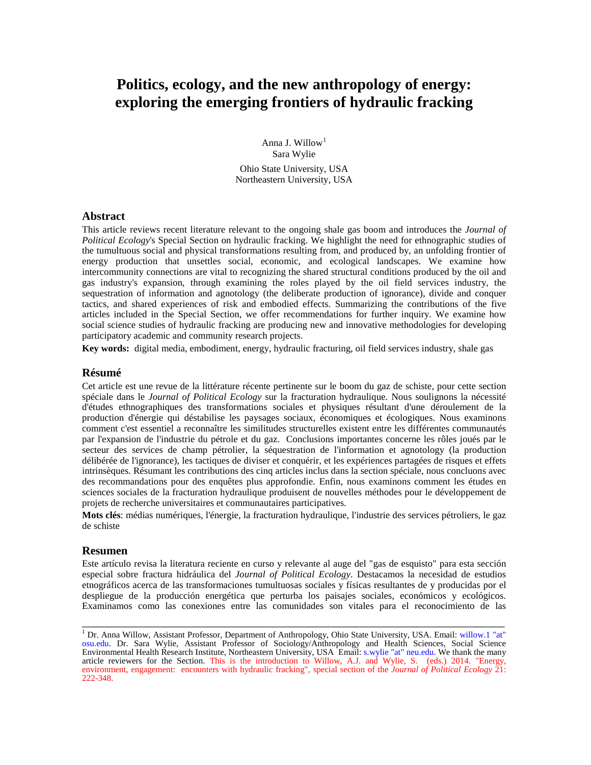# **Politics, ecology, and the new anthropology of energy: exploring the emerging frontiers of hydraulic fracking**

Anna J. Willow<sup>[1](#page-0-0)</sup> Sara Wylie Ohio State University, USA

Northeastern University, USA

### **Abstract**

This article reviews recent literature relevant to the ongoing shale gas boom and introduces the *Journal of Political Ecology*'s Special Section on hydraulic fracking. We highlight the need for ethnographic studies of the tumultuous social and physical transformations resulting from, and produced by, an unfolding frontier of energy production that unsettles social, economic, and ecological landscapes. We examine how intercommunity connections are vital to recognizing the shared structural conditions produced by the oil and gas industry's expansion, through examining the roles played by the oil field services industry, the sequestration of information and agnotology (the deliberate production of ignorance), divide and conquer tactics, and shared experiences of risk and embodied effects. Summarizing the contributions of the five articles included in the Special Section, we offer recommendations for further inquiry. We examine how social science studies of hydraulic fracking are producing new and innovative methodologies for developing participatory academic and community research projects.

**Key words:** digital media, embodiment, energy, hydraulic fracturing, oil field services industry, shale gas

### **Résumé**

Cet article est une revue de la littérature récente pertinente sur le boom du gaz de schiste, pour cette section spéciale dans le *Journal of Political Ecology* sur la fracturation hydraulique. Nous soulignons la nécessité d'études ethnographiques des transformations sociales et physiques résultant d'une déroulement de la production d'énergie qui déstabilise les paysages sociaux, économiques et écologiques. Nous examinons comment c'est essentiel a reconnaître les similitudes structurelles existent entre les différentes communautés par l'expansion de l'industrie du pétrole et du gaz. Conclusions importantes concerne les rôles joués par le secteur des services de champ pétrolier, la séquestration de l'information et agnotology (la production délibérée de l'ignorance), les tactiques de diviser et conquérir, et les expériences partagées de risques et effets intrinsèques. Résumant les contributions des cinq articles inclus dans la section spéciale, nous concluons avec des recommandations pour des enquêtes plus approfondie. Enfin, nous examinons comment les études en sciences sociales de la fracturation hydraulique produisent de nouvelles méthodes pour le développement de projets de recherche universitaires et communautaires participatives.

**Mots clés**: médias numériques, l'énergie, la fracturation hydraulique, l'industrie des services pétroliers, le gaz de schiste

#### **Resumen**

Este artículo revisa la literatura reciente en curso y relevante al auge del "gas de esquisto" para esta sección especial sobre fractura hidráulica del *Journal of Political Ecology*. Destacamos la necesidad de estudios etnográficos acerca de las transformaciones tumultuosas sociales y físicas resultantes de y producidas por el despliegue de la producción energética que perturba los paisajes sociales, económicos y ecológicos. Examinamos como las conexiones entre las comunidades son vitales para el reconocimiento de las

<span id="page-0-0"></span><sup>&</sup>lt;sup>1</sup> Dr. Anna Willow, Assistant Professor, Department of Anthropology, Ohio State University, USA. Email: willow.1 "at" osu.edu. Dr. Sara Wylie, Assistant Professor of Sociology/Anthropology and Health Sciences, Social Science Environmental Health Research Institute, Northeastern University, USA Email: s.wylie "at" neu.edu. We thank the many article reviewers for the Section. This is the introduction to Willow, A.J. and Wylie, S. (eds.) 2014. "Energy, environment, engagement: encounters with hydraulic fracking", special section of the *Journal of Political Ecology* 21: 222-348.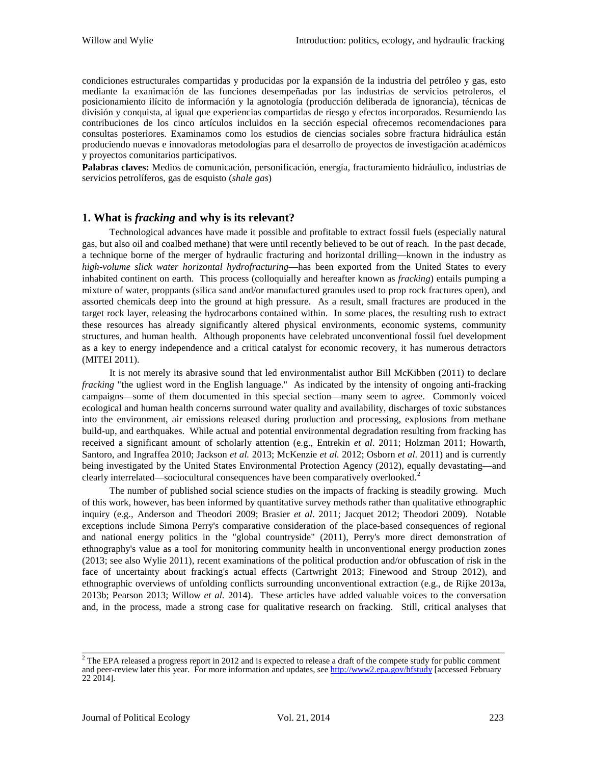condiciones estructurales compartidas y producidas por la expansión de la industria del petróleo y gas, esto mediante la exanimación de las funciones desempeñadas por las industrias de servicios petroleros, el posicionamiento ilícito de información y la agnotología (producción deliberada de ignorancia), técnicas de división y conquista, al igual que experiencias compartidas de riesgo y efectos incorporados. Resumiendo las contribuciones de los cinco artículos incluidos en la sección especial ofrecemos recomendaciones para consultas posteriores. Examinamos como los estudios de ciencias sociales sobre fractura hidráulica están produciendo nuevas e innovadoras metodologías para el desarrollo de proyectos de investigación académicos y proyectos comunitarios participativos.

**Palabras claves:** Medios de comunicación, personificación, energía, fracturamiento hidráulico, industrias de servicios petrolíferos, gas de esquisto (*shale gas*)

## **1. What is** *fracking* **and why is its relevant?**

Technological advances have made it possible and profitable to extract fossil fuels (especially natural gas, but also oil and coalbed methane) that were until recently believed to be out of reach. In the past decade, a technique borne of the merger of hydraulic fracturing and horizontal drilling—known in the industry as *high-volume slick water horizontal hydrofracturing*—has been exported from the United States to every inhabited continent on earth. This process (colloquially and hereafter known as *fracking*) entails pumping a mixture of water, proppants (silica sand and/or manufactured granules used to prop rock fractures open), and assorted chemicals deep into the ground at high pressure. As a result, small fractures are produced in the target rock layer, releasing the hydrocarbons contained within. In some places, the resulting rush to extract these resources has already significantly altered physical environments, economic systems, community structures, and human health. Although proponents have celebrated unconventional fossil fuel development as a key to energy independence and a critical catalyst for economic recovery, it has numerous detractors (MITEI 2011).

It is not merely its abrasive sound that led environmentalist author Bill McKibben (2011) to declare *fracking* "the ugliest word in the English language." As indicated by the intensity of ongoing anti-fracking campaigns—some of them documented in this special section—many seem to agree. Commonly voiced ecological and human health concerns surround water quality and availability, discharges of toxic substances into the environment, air emissions released during production and processing, explosions from methane build-up, and earthquakes. While actual and potential environmental degradation resulting from fracking has received a significant amount of scholarly attention (e.g., Entrekin *et al*. 2011; Holzman 2011; Howarth, Santoro, and Ingraffea 2010; Jackson *et al.* 2013; McKenzie *et al.* 2012; Osborn *et al*. 2011) and is currently being investigated by the United States Environmental Protection Agency (2012), equally devastating—and clearly interrelated—sociocultural consequences have been comparatively overlooked.<sup>[2](#page-1-0)</sup>

The number of published social science studies on the impacts of fracking is steadily growing. Much of this work, however, has been informed by quantitative survey methods rather than qualitative ethnographic inquiry (e.g., Anderson and Theodori 2009; Brasier *et al*. 2011; Jacquet 2012; Theodori 2009). Notable exceptions include Simona Perry's comparative consideration of the place-based consequences of regional and national energy politics in the "global countryside" (2011), Perry's more direct demonstration of ethnography's value as a tool for monitoring community health in unconventional energy production zones (2013; see also Wylie 2011), recent examinations of the political production and/or obfuscation of risk in the face of uncertainty about fracking's actual effects (Cartwright 2013; Finewood and Stroup 2012), and ethnographic overviews of unfolding conflicts surrounding unconventional extraction (e.g., de Rijke 2013a, 2013b; Pearson 2013; Willow *et al.* 2014). These articles have added valuable voices to the conversation and, in the process, made a strong case for qualitative research on fracking. Still, critical analyses that

<span id="page-1-0"></span> $2$  The EPA released a progress report in 2012 and is expected to release a draft of the compete study for public comment and peer-review later this year. For more information and updates, se[e http://www2.epa.gov/hfstudy](http://www2.epa.gov/hfstudy) [accessed February 22 2014].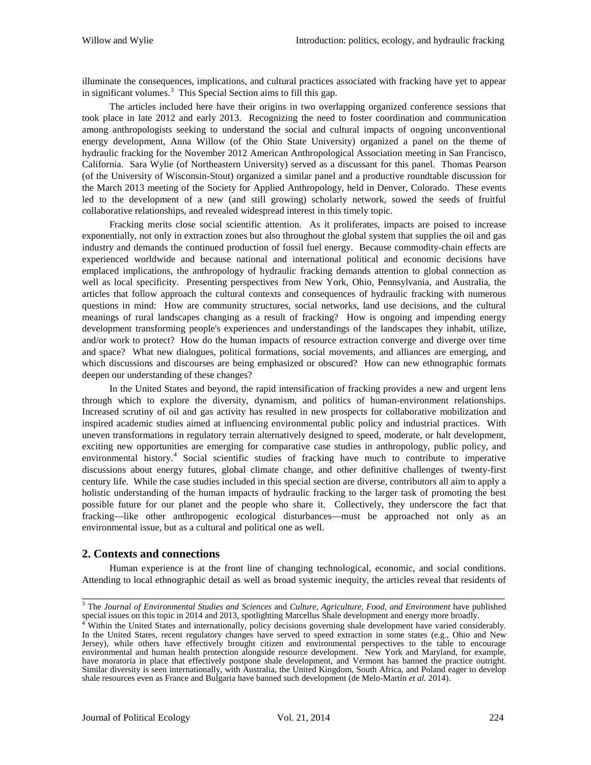illuminate the consequences, implications, and cultural practices associated with fracking have yet to appear in significant volumes.<sup>[3](#page-2-0)</sup> This Special Section aims to fill this gap.

The articles included here have their origins in two overlapping organized conference sessions that took place in late 2012 and early 2013. Recognizing the need to foster coordination and communication among anthropologists seeking to understand the social and cultural impacts of ongoing unconventional energy development, Anna Willow (of the Ohio State University) organized a panel on the theme of hydraulic fracking for the November 2012 American Anthropological Association meeting in San Francisco, California. Sara Wylie (of Northeastern University) served as a discussant for this panel. Thomas Pearson (of the University of Wisconsin-Stout) organized a similar panel and a productive roundtable discussion for the March 2013 meeting of the Society for Applied Anthropology, held in Denver, Colorado. These events led to the development of a new (and still growing) scholarly network, sowed the seeds of fruitful collaborative relationships, and revealed widespread interest in this timely topic.

Fracking merits close social scientific attention. As it proliferates, impacts are poised to increase exponentially, not only in extraction zones but also throughout the global system that supplies the oil and gas industry and demands the continued production of fossil fuel energy. Because commodity-chain effects are experienced worldwide and because national and international political and economic decisions have emplaced implications, the anthropology of hydraulic fracking demands attention to global connection as well as local specificity. Presenting perspectives from New York, Ohio, Pennsylvania, and Australia, the articles that follow approach the cultural contexts and consequences of hydraulic fracking with numerous questions in mind: How are community structures, social networks, land use decisions, and the cultural meanings of rural landscapes changing as a result of fracking? How is ongoing and impending energy development transforming people's experiences and understandings of the landscapes they inhabit, utilize, and/or work to protect? How do the human impacts of resource extraction converge and diverge over time and space? What new dialogues, political formations, social movements, and alliances are emerging, and which discussions and discourses are being emphasized or obscured? How can new ethnographic formats deepen our understanding of these changes?

In the United States and beyond, the rapid intensification of fracking provides a new and urgent lens through which to explore the diversity, dynamism, and politics of human-environment relationships. Increased scrutiny of oil and gas activity has resulted in new prospects for collaborative mobilization and inspired academic studies aimed at influencing environmental public policy and industrial practices. With uneven transformations in regulatory terrain alternatively designed to speed, moderate, or halt development, exciting new opportunities are emerging for comparative case studies in anthropology, public policy, and environmental history.[4](#page-2-1) Social scientific studies of fracking have much to contribute to imperative discussions about energy futures, global climate change, and other definitive challenges of twenty-first century life. While the case studies included in this special section are diverse, contributors all aim to apply a holistic understanding of the human impacts of hydraulic fracking to the larger task of promoting the best possible future for our planet and the people who share it. Collectively, they underscore the fact that fracking—like other anthropogenic ecological disturbances—must be approached not only as an environmental issue, but as a cultural and political one as well.

## **2. Contexts and connections**

Human experience is at the front line of changing technological, economic, and social conditions. Attending to local ethnographic detail as well as broad systemic inequity, the articles reveal that residents of

<span id="page-2-0"></span>\_\_\_\_\_\_\_\_\_\_\_\_\_\_\_\_\_\_\_\_\_\_\_\_\_\_\_\_\_\_\_\_\_\_\_\_\_\_\_\_\_\_\_\_\_\_\_\_\_\_\_\_\_\_\_\_\_\_\_\_\_\_\_\_\_\_\_\_\_\_\_\_\_ <sup>3</sup> The *Journal of Environmental Studies and Sciences* and *Culture, Agriculture, Food, and Environment* have published special issues on this topic in 2014 and 2013, spotlighting Marcellus Shale development and energy more broadly.

<span id="page-2-1"></span><sup>&</sup>lt;sup>4</sup> Within the United States and internationally, policy decisions governing shale development have varied considerably. In the United States, recent regulatory changes have served to speed extraction in some states (e.g., Ohio and New Jersey), while others have effectively brought citizen and environmental perspectives to the table to encourage environmental and human health protection alongside resource development. New York and Maryland, for example, have moratoria in place that effectively postpone shale development, and Vermont has banned the practice outright. Similar diversity is seen internationally, with Australia, the United Kingdom, South Africa, and Poland eager to develop shale resources even as France and Bulgaria have banned such development (de Melo-Martín *et al.* 2014).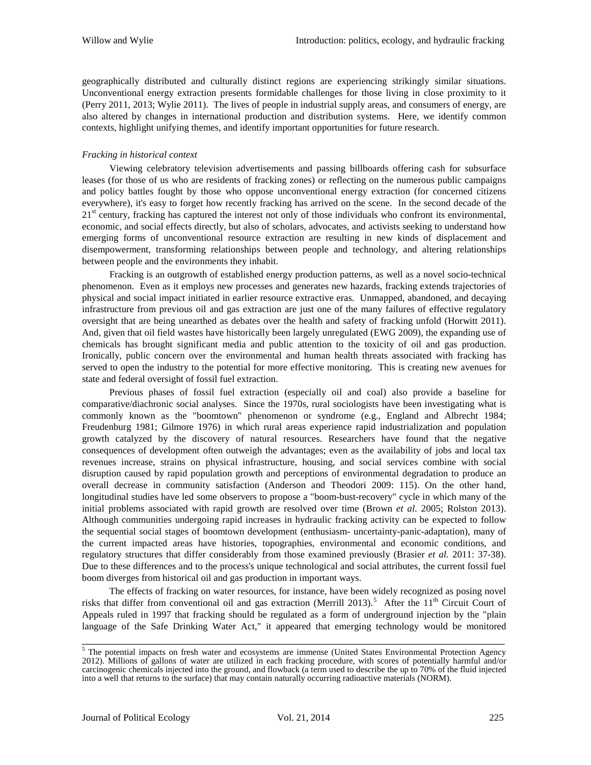geographically distributed and culturally distinct regions are experiencing strikingly similar situations. Unconventional energy extraction presents formidable challenges for those living in close proximity to it (Perry 2011, 2013; Wylie 2011). The lives of people in industrial supply areas, and consumers of energy, are also altered by changes in international production and distribution systems. Here, we identify common contexts, highlight unifying themes, and identify important opportunities for future research.

#### *Fracking in historical context*

Viewing celebratory television advertisements and passing billboards offering cash for subsurface leases (for those of us who are residents of fracking zones) or reflecting on the numerous public campaigns and policy battles fought by those who oppose unconventional energy extraction (for concerned citizens everywhere), it's easy to forget how recently fracking has arrived on the scene. In the second decade of the  $21<sup>st</sup>$  century, fracking has captured the interest not only of those individuals who confront its environmental, economic, and social effects directly, but also of scholars, advocates, and activists seeking to understand how emerging forms of unconventional resource extraction are resulting in new kinds of displacement and disempowerment, transforming relationships between people and technology, and altering relationships between people and the environments they inhabit.

Fracking is an outgrowth of established energy production patterns, as well as a novel socio-technical phenomenon. Even as it employs new processes and generates new hazards, fracking extends trajectories of physical and social impact initiated in earlier resource extractive eras. Unmapped, abandoned, and decaying infrastructure from previous oil and gas extraction are just one of the many failures of effective regulatory oversight that are being unearthed as debates over the health and safety of fracking unfold (Horwitt 2011). And, given that oil field wastes have historically been largely unregulated (EWG 2009), the expanding use of chemicals has brought significant media and public attention to the toxicity of oil and gas production. Ironically, public concern over the environmental and human health threats associated with fracking has served to open the industry to the potential for more effective monitoring. This is creating new avenues for state and federal oversight of fossil fuel extraction.

Previous phases of fossil fuel extraction (especially oil and coal) also provide a baseline for comparative/diachronic social analyses. Since the 1970s, rural sociologists have been investigating what is commonly known as the "boomtown" phenomenon or syndrome (e.g., England and Albrecht 1984; Freudenburg 1981; Gilmore 1976) in which rural areas experience rapid industrialization and population growth catalyzed by the discovery of natural resources. Researchers have found that the negative consequences of development often outweigh the advantages; even as the availability of jobs and local tax revenues increase, strains on physical infrastructure, housing, and social services combine with social disruption caused by rapid population growth and perceptions of environmental degradation to produce an overall decrease in community satisfaction (Anderson and Theodori 2009: 115). On the other hand, longitudinal studies have led some observers to propose a "boom-bust-recovery" cycle in which many of the initial problems associated with rapid growth are resolved over time (Brown *et al*. 2005; Rolston 2013). Although communities undergoing rapid increases in hydraulic fracking activity can be expected to follow the sequential social stages of boomtown development (enthusiasm- uncertainty-panic-adaptation), many of the current impacted areas have histories, topographies, environmental and economic conditions, and regulatory structures that differ considerably from those examined previously (Brasier *et al.* 2011: 37-38). Due to these differences and to the process's unique technological and social attributes, the current fossil fuel boom diverges from historical oil and gas production in important ways.

The effects of fracking on water resources, for instance, have been widely recognized as posing novel risks that differ from conventional oil and gas extraction (Merrill 2013).<sup>[5](#page-3-0)</sup> After the 11<sup>th</sup> Circuit Court of Appeals ruled in 1997 that fracking should be regulated as a form of underground injection by the "plain language of the Safe Drinking Water Act," it appeared that emerging technology would be monitored

<span id="page-3-0"></span><sup>&</sup>lt;sup>5</sup> The potential impacts on fresh water and ecosystems are immense (United States Environmental Protection Agency 2012). Millions of gallons of water are utilized in each fracking procedure, with scores of potentially harmful and/or carcinogenic chemicals injected into the ground, and flowback (a term used to describe the up to 70% of the fluid injected into a well that returns to the surface) that may contain naturally occurring radioactive materials (NORM).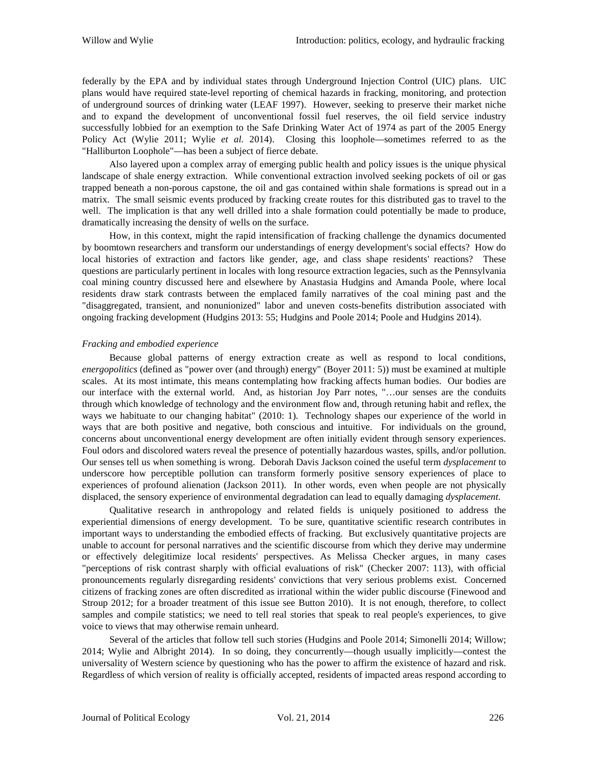federally by the EPA and by individual states through Underground Injection Control (UIC) plans. UIC plans would have required state-level reporting of chemical hazards in fracking, monitoring, and protection of underground sources of drinking water (LEAF 1997). However, seeking to preserve their market niche and to expand the development of unconventional fossil fuel reserves, the oil field service industry successfully lobbied for an exemption to the Safe Drinking Water Act of 1974 as part of the 2005 Energy Policy Act (Wylie 2011; Wylie *et al.* 2014). Closing this loophole—sometimes referred to as the "Halliburton Loophole"—has been a subject of fierce debate.

Also layered upon a complex array of emerging public health and policy issues is the unique physical landscape of shale energy extraction. While conventional extraction involved seeking pockets of oil or gas trapped beneath a non-porous capstone, the oil and gas contained within shale formations is spread out in a matrix. The small seismic events produced by fracking create routes for this distributed gas to travel to the well. The implication is that any well drilled into a shale formation could potentially be made to produce, dramatically increasing the density of wells on the surface.

How, in this context, might the rapid intensification of fracking challenge the dynamics documented by boomtown researchers and transform our understandings of energy development's social effects? How do local histories of extraction and factors like gender, age, and class shape residents' reactions? These questions are particularly pertinent in locales with long resource extraction legacies, such as the Pennsylvania coal mining country discussed here and elsewhere by Anastasia Hudgins and Amanda Poole, where local residents draw stark contrasts between the emplaced family narratives of the coal mining past and the "disaggregated, transient, and nonunionized" labor and uneven costs-benefits distribution associated with ongoing fracking development (Hudgins 2013: 55; Hudgins and Poole 2014; Poole and Hudgins 2014).

#### *Fracking and embodied experience*

Because global patterns of energy extraction create as well as respond to local conditions, *energopolitics* (defined as "power over (and through) energy" (Boyer 2011: 5)) must be examined at multiple scales. At its most intimate, this means contemplating how fracking affects human bodies. Our bodies are our interface with the external world. And, as historian Joy Parr notes, "…our senses are the conduits through which knowledge of technology and the environment flow and, through retuning habit and reflex, the ways we habituate to our changing habitat" (2010: 1). Technology shapes our experience of the world in ways that are both positive and negative, both conscious and intuitive. For individuals on the ground, concerns about unconventional energy development are often initially evident through sensory experiences. Foul odors and discolored waters reveal the presence of potentially hazardous wastes, spills, and/or pollution. Our senses tell us when something is wrong. Deborah Davis Jackson coined the useful term *dysplacement* to underscore how perceptible pollution can transform formerly positive sensory experiences of place to experiences of profound alienation (Jackson 2011). In other words, even when people are not physically displaced, the sensory experience of environmental degradation can lead to equally damaging *dysplacement*.

Qualitative research in anthropology and related fields is uniquely positioned to address the experiential dimensions of energy development. To be sure, quantitative scientific research contributes in important ways to understanding the embodied effects of fracking. But exclusively quantitative projects are unable to account for personal narratives and the scientific discourse from which they derive may undermine or effectively delegitimize local residents' perspectives. As Melissa Checker argues, in many cases "perceptions of risk contrast sharply with official evaluations of risk" (Checker 2007: 113), with official pronouncements regularly disregarding residents' convictions that very serious problems exist. Concerned citizens of fracking zones are often discredited as irrational within the wider public discourse (Finewood and Stroup 2012; for a broader treatment of this issue see Button 2010). It is not enough, therefore, to collect samples and compile statistics; we need to tell real stories that speak to real people's experiences, to give voice to views that may otherwise remain unheard.

Several of the articles that follow tell such stories (Hudgins and Poole 2014; Simonelli 2014; Willow; 2014; Wylie and Albright 2014). In so doing, they concurrently—though usually implicitly—contest the universality of Western science by questioning who has the power to affirm the existence of hazard and risk. Regardless of which version of reality is officially accepted, residents of impacted areas respond according to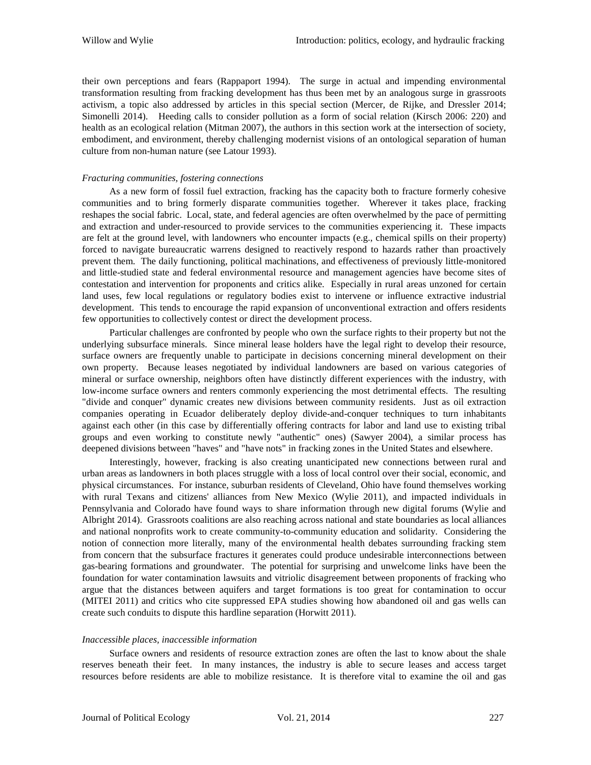their own perceptions and fears (Rappaport 1994). The surge in actual and impending environmental transformation resulting from fracking development has thus been met by an analogous surge in grassroots activism, a topic also addressed by articles in this special section (Mercer, de Rijke, and Dressler 2014; Simonelli 2014). Heeding calls to consider pollution as a form of social relation (Kirsch 2006: 220) and health as an ecological relation (Mitman 2007), the authors in this section work at the intersection of society, embodiment, and environment, thereby challenging modernist visions of an ontological separation of human culture from non-human nature (see Latour 1993).

#### *Fracturing communities, fostering connections*

As a new form of fossil fuel extraction, fracking has the capacity both to fracture formerly cohesive communities and to bring formerly disparate communities together. Wherever it takes place, fracking reshapes the social fabric. Local, state, and federal agencies are often overwhelmed by the pace of permitting and extraction and under-resourced to provide services to the communities experiencing it. These impacts are felt at the ground level, with landowners who encounter impacts (e.g., chemical spills on their property) forced to navigate bureaucratic warrens designed to reactively respond to hazards rather than proactively prevent them. The daily functioning, political machinations, and effectiveness of previously little-monitored and little-studied state and federal environmental resource and management agencies have become sites of contestation and intervention for proponents and critics alike. Especially in rural areas unzoned for certain land uses, few local regulations or regulatory bodies exist to intervene or influence extractive industrial development. This tends to encourage the rapid expansion of unconventional extraction and offers residents few opportunities to collectively contest or direct the development process.

Particular challenges are confronted by people who own the surface rights to their property but not the underlying subsurface minerals. Since mineral lease holders have the legal right to develop their resource, surface owners are frequently unable to participate in decisions concerning mineral development on their own property. Because leases negotiated by individual landowners are based on various categories of mineral or surface ownership, neighbors often have distinctly different experiences with the industry, with low-income surface owners and renters commonly experiencing the most detrimental effects. The resulting "divide and conquer" dynamic creates new divisions between community residents. Just as oil extraction companies operating in Ecuador deliberately deploy divide-and-conquer techniques to turn inhabitants against each other (in this case by differentially offering contracts for labor and land use to existing tribal groups and even working to constitute newly "authentic" ones) (Sawyer 2004), a similar process has deepened divisions between "haves" and "have nots" in fracking zones in the United States and elsewhere.

Interestingly, however, fracking is also creating unanticipated new connections between rural and urban areas as landowners in both places struggle with a loss of local control over their social, economic, and physical circumstances. For instance, suburban residents of Cleveland, Ohio have found themselves working with rural Texans and citizens' alliances from New Mexico (Wylie 2011), and impacted individuals in Pennsylvania and Colorado have found ways to share information through new digital forums (Wylie and Albright 2014). Grassroots coalitions are also reaching across national and state boundaries as local alliances and national nonprofits work to create community-to-community education and solidarity. Considering the notion of connection more literally, many of the environmental health debates surrounding fracking stem from concern that the subsurface fractures it generates could produce undesirable interconnections between gas-bearing formations and groundwater. The potential for surprising and unwelcome links have been the foundation for water contamination lawsuits and vitriolic disagreement between proponents of fracking who argue that the distances between aquifers and target formations is too great for contamination to occur (MITEI 2011) and critics who cite suppressed EPA studies showing how abandoned oil and gas wells can create such conduits to dispute this hardline separation (Horwitt 2011).

#### *Inaccessible places, inaccessible information*

Surface owners and residents of resource extraction zones are often the last to know about the shale reserves beneath their feet. In many instances, the industry is able to secure leases and access target resources before residents are able to mobilize resistance. It is therefore vital to examine the oil and gas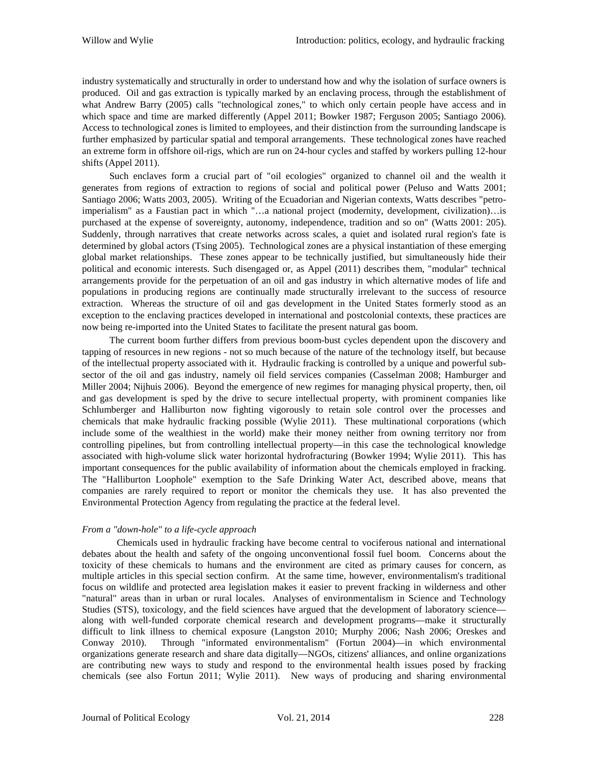industry systematically and structurally in order to understand how and why the isolation of surface owners is produced. Oil and gas extraction is typically marked by an enclaving process, through the establishment of what Andrew Barry (2005) calls "technological zones," to which only certain people have access and in which space and time are marked differently (Appel 2011; Bowker 1987; Ferguson 2005; Santiago 2006). Access to technological zones is limited to employees, and their distinction from the surrounding landscape is further emphasized by particular spatial and temporal arrangements. These technological zones have reached an extreme form in offshore oil-rigs, which are run on 24-hour cycles and staffed by workers pulling 12-hour shifts (Appel 2011).

Such enclaves form a crucial part of "oil ecologies" organized to channel oil and the wealth it generates from regions of extraction to regions of social and political power (Peluso and Watts 2001; Santiago 2006; Watts 2003, 2005). Writing of the Ecuadorian and Nigerian contexts, Watts describes "petroimperialism" as a Faustian pact in which "…a national project (modernity, development, civilization)…is purchased at the expense of sovereignty, autonomy, independence, tradition and so on" (Watts 2001: 205). Suddenly, through narratives that create networks across scales, a quiet and isolated rural region's fate is determined by global actors (Tsing 2005). Technological zones are a physical instantiation of these emerging global market relationships. These zones appear to be technically justified, but simultaneously hide their political and economic interests. Such disengaged or, as Appel (2011) describes them, "modular" technical arrangements provide for the perpetuation of an oil and gas industry in which alternative modes of life and populations in producing regions are continually made structurally irrelevant to the success of resource extraction. Whereas the structure of oil and gas development in the United States formerly stood as an exception to the enclaving practices developed in international and postcolonial contexts, these practices are now being re-imported into the United States to facilitate the present natural gas boom.

The current boom further differs from previous boom-bust cycles dependent upon the discovery and tapping of resources in new regions - not so much because of the nature of the technology itself, but because of the intellectual property associated with it. Hydraulic fracking is controlled by a unique and powerful subsector of the oil and gas industry, namely oil field services companies (Casselman 2008; Hamburger and Miller 2004; Nijhuis 2006). Beyond the emergence of new regimes for managing physical property, then, oil and gas development is sped by the drive to secure intellectual property, with prominent companies like Schlumberger and Halliburton now fighting vigorously to retain sole control over the processes and chemicals that make hydraulic fracking possible (Wylie 2011). These multinational corporations (which include some of the wealthiest in the world) make their money neither from owning territory nor from controlling pipelines, but from controlling intellectual property—in this case the technological knowledge associated with high-volume slick water horizontal hydrofracturing (Bowker 1994; Wylie 2011). This has important consequences for the public availability of information about the chemicals employed in fracking. The "Halliburton Loophole" exemption to the Safe Drinking Water Act, described above, means that companies are rarely required to report or monitor the chemicals they use. It has also prevented the Environmental Protection Agency from regulating the practice at the federal level.

### *From a "down-hole" to a life-cycle approach*

Chemicals used in hydraulic fracking have become central to vociferous national and international debates about the health and safety of the ongoing unconventional fossil fuel boom. Concerns about the toxicity of these chemicals to humans and the environment are cited as primary causes for concern, as multiple articles in this special section confirm. At the same time, however, environmentalism's traditional focus on wildlife and protected area legislation makes it easier to prevent fracking in wilderness and other "natural" areas than in urban or rural locales. Analyses of environmentalism in Science and Technology Studies (STS), toxicology, and the field sciences have argued that the development of laboratory science along with well-funded corporate chemical research and development programs—make it structurally difficult to link illness to chemical exposure (Langston 2010; Murphy 2006; Nash 2006; Oreskes and Conway 2010). Through "informated environmentalism" (Fortun 2004)—in which environmental organizations generate research and share data digitally—NGOs, citizens' alliances, and online organizations are contributing new ways to study and respond to the environmental health issues posed by fracking chemicals (see also Fortun 2011; Wylie 2011). New ways of producing and sharing environmental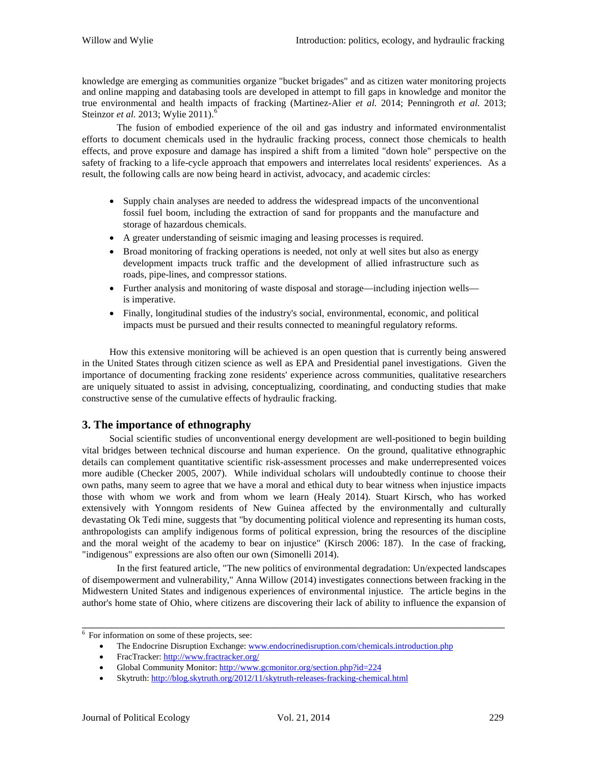knowledge are emerging as communities organize "bucket brigades" and as citizen water monitoring projects and online mapping and databasing tools are developed in attempt to fill gaps in knowledge and monitor the true environmental and health impacts of fracking (Martinez-Alier *et al.* 2014; Penningroth *et al.* 2013; Steinzor *et al.* 2013; Wylie 2011).<sup>[6](#page-7-0)</sup>

The fusion of embodied experience of the oil and gas industry and informated environmentalist efforts to document chemicals used in the hydraulic fracking process, connect those chemicals to health effects, and prove exposure and damage has inspired a shift from a limited "down hole" perspective on the safety of fracking to a life-cycle approach that empowers and interrelates local residents' experiences. As a result, the following calls are now being heard in activist, advocacy, and academic circles:

- Supply chain analyses are needed to address the widespread impacts of the unconventional fossil fuel boom, including the extraction of sand for proppants and the manufacture and storage of hazardous chemicals.
- A greater understanding of seismic imaging and leasing processes is required.
- Broad monitoring of fracking operations is needed, not only at well sites but also as energy development impacts truck traffic and the development of allied infrastructure such as roads, pipe-lines, and compressor stations.
- Further analysis and monitoring of waste disposal and storage—including injection wells is imperative.
- Finally, longitudinal studies of the industry's social, environmental, economic, and political impacts must be pursued and their results connected to meaningful regulatory reforms.

How this extensive monitoring will be achieved is an open question that is currently being answered in the United States through citizen science as well as EPA and Presidential panel investigations. Given the importance of documenting fracking zone residents' experience across communities, qualitative researchers are uniquely situated to assist in advising, conceptualizing, coordinating, and conducting studies that make constructive sense of the cumulative effects of hydraulic fracking.

# **3. The importance of ethnography**

Social scientific studies of unconventional energy development are well-positioned to begin building vital bridges between technical discourse and human experience. On the ground, qualitative ethnographic details can complement quantitative scientific risk-assessment processes and make underrepresented voices more audible (Checker 2005, 2007). While individual scholars will undoubtedly continue to choose their own paths, many seem to agree that we have a moral and ethical duty to bear witness when injustice impacts those with whom we work and from whom we learn (Healy 2014). Stuart Kirsch, who has worked extensively with Yonngom residents of New Guinea affected by the environmentally and culturally devastating Ok Tedi mine, suggests that "by documenting political violence and representing its human costs, anthropologists can amplify indigenous forms of political expression, bring the resources of the discipline and the moral weight of the academy to bear on injustice" (Kirsch 2006: 187). In the case of fracking, "indigenous" expressions are also often our own (Simonelli 2014).

In the first featured article, "The new politics of environmental degradation: Un/expected landscapes of disempowerment and vulnerability," Anna Willow (2014) investigates connections between fracking in the Midwestern United States and indigenous experiences of environmental injustice. The article begins in the author's home state of Ohio, where citizens are discovering their lack of ability to influence the expansion of

<span id="page-7-0"></span><sup>&</sup>lt;sup>6</sup> For information on some of these projects, see:

<sup>•</sup> The Endocrine Disruption Exchange: www.endocrinedisruption.com/chemicals.introduction.php

<sup>•</sup> FracTracker:<http://www.fractracker.org/>

<sup>•</sup> Global Community Monitor[: http://www.gcmonitor.org/section.php?id=224](http://www.gcmonitor.org/section.php?id=224)

<sup>•</sup> Skytruth:<http://blog.skytruth.org/2012/11/skytruth-releases-fracking-chemical.html>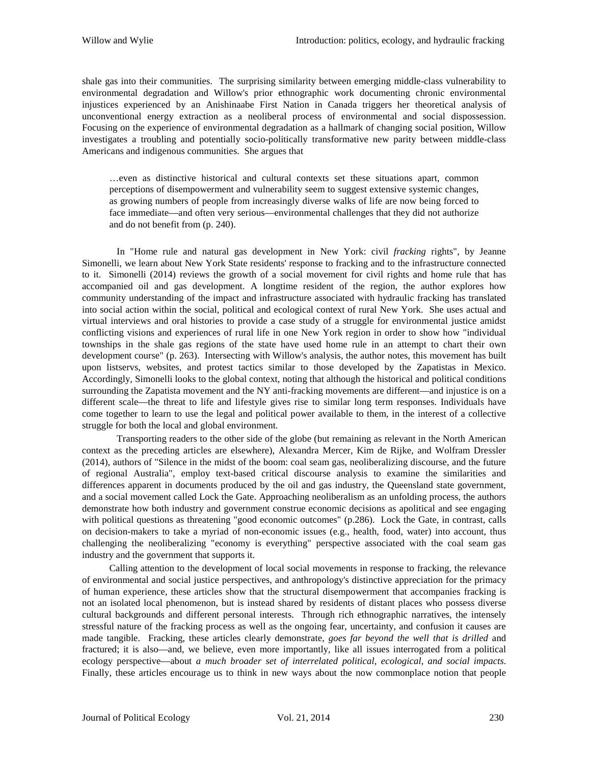shale gas into their communities. The surprising similarity between emerging middle-class vulnerability to environmental degradation and Willow's prior ethnographic work documenting chronic environmental injustices experienced by an Anishinaabe First Nation in Canada triggers her theoretical analysis of unconventional energy extraction as a neoliberal process of environmental and social dispossession. Focusing on the experience of environmental degradation as a hallmark of changing social position, Willow investigates a troubling and potentially socio-politically transformative new parity between middle-class Americans and indigenous communities. She argues that

…even as distinctive historical and cultural contexts set these situations apart, common perceptions of disempowerment and vulnerability seem to suggest extensive systemic changes, as growing numbers of people from increasingly diverse walks of life are now being forced to face immediate—and often very serious—environmental challenges that they did not authorize and do not benefit from (p. 240).

In "Home rule and natural gas development in New York: civil *fracking* rights", by Jeanne Simonelli, we learn about New York State residents' response to fracking and to the infrastructure connected to it. Simonelli (2014) reviews the growth of a social movement for civil rights and home rule that has accompanied oil and gas development. A longtime resident of the region, the author explores how community understanding of the impact and infrastructure associated with hydraulic fracking has translated into social action within the social, political and ecological context of rural New York. She uses actual and virtual interviews and oral histories to provide a case study of a struggle for environmental justice amidst conflicting visions and experiences of rural life in one New York region in order to show how "individual townships in the shale gas regions of the state have used home rule in an attempt to chart their own development course" (p. 263). Intersecting with Willow's analysis, the author notes, this movement has built upon listservs, websites, and protest tactics similar to those developed by the Zapatistas in Mexico. Accordingly, Simonelli looks to the global context, noting that although the historical and political conditions surrounding the Zapatista movement and the NY anti-fracking movements are different—and injustice is on a different scale—the threat to life and lifestyle gives rise to similar long term responses. Individuals have come together to learn to use the legal and political power available to them, in the interest of a collective struggle for both the local and global environment.

Transporting readers to the other side of the globe (but remaining as relevant in the North American context as the preceding articles are elsewhere), Alexandra Mercer, Kim de Rijke, and Wolfram Dressler (2014), authors of "Silence in the midst of the boom: coal seam gas, neoliberalizing discourse, and the future of regional Australia", employ text-based critical discourse analysis to examine the similarities and differences apparent in documents produced by the oil and gas industry, the Queensland state government, and a social movement called Lock the Gate. Approaching neoliberalism as an unfolding process, the authors demonstrate how both industry and government construe economic decisions as apolitical and see engaging with political questions as threatening "good economic outcomes" (p.286). Lock the Gate, in contrast, calls on decision-makers to take a myriad of non-economic issues (e.g., health, food, water) into account, thus challenging the neoliberalizing "economy is everything" perspective associated with the coal seam gas industry and the government that supports it.

Calling attention to the development of local social movements in response to fracking, the relevance of environmental and social justice perspectives, and anthropology's distinctive appreciation for the primacy of human experience, these articles show that the structural disempowerment that accompanies fracking is not an isolated local phenomenon, but is instead shared by residents of distant places who possess diverse cultural backgrounds and different personal interests. Through rich ethnographic narratives, the intensely stressful nature of the fracking process as well as the ongoing fear, uncertainty, and confusion it causes are made tangible. Fracking, these articles clearly demonstrate, *goes far beyond the well that is drilled* and fractured; it is also—and, we believe, even more importantly, like all issues interrogated from a political ecology perspective—about *a much broader set of interrelated political, ecological, and social impacts*. Finally, these articles encourage us to think in new ways about the now commonplace notion that people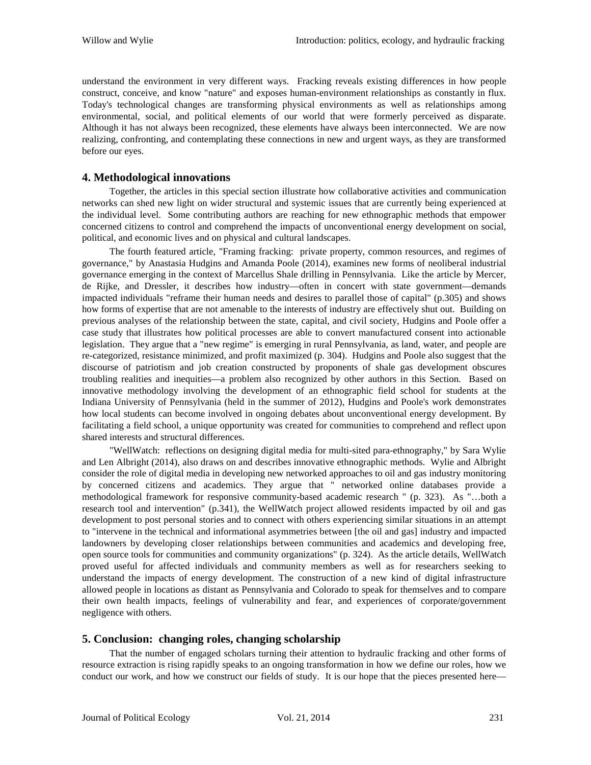understand the environment in very different ways. Fracking reveals existing differences in how people construct, conceive, and know "nature" and exposes human-environment relationships as constantly in flux. Today's technological changes are transforming physical environments as well as relationships among environmental, social, and political elements of our world that were formerly perceived as disparate. Although it has not always been recognized, these elements have always been interconnected. We are now realizing, confronting, and contemplating these connections in new and urgent ways, as they are transformed before our eyes.

## **4. Methodological innovations**

Together, the articles in this special section illustrate how collaborative activities and communication networks can shed new light on wider structural and systemic issues that are currently being experienced at the individual level. Some contributing authors are reaching for new ethnographic methods that empower concerned citizens to control and comprehend the impacts of unconventional energy development on social, political, and economic lives and on physical and cultural landscapes.

The fourth featured article, "Framing fracking: private property, common resources, and regimes of governance," by Anastasia Hudgins and Amanda Poole (2014), examines new forms of neoliberal industrial governance emerging in the context of Marcellus Shale drilling in Pennsylvania. Like the article by Mercer, de Rijke, and Dressler, it describes how industry—often in concert with state government—demands impacted individuals "reframe their human needs and desires to parallel those of capital" (p.305) and shows how forms of expertise that are not amenable to the interests of industry are effectively shut out. Building on previous analyses of the relationship between the state, capital, and civil society, Hudgins and Poole offer a case study that illustrates how political processes are able to convert manufactured consent into actionable legislation. They argue that a "new regime" is emerging in rural Pennsylvania, as land, water, and people are re-categorized, resistance minimized, and profit maximized (p. 304). Hudgins and Poole also suggest that the discourse of patriotism and job creation constructed by proponents of shale gas development obscures troubling realities and inequities—a problem also recognized by other authors in this Section. Based on innovative methodology involving the development of an ethnographic field school for students at the Indiana University of Pennsylvania (held in the summer of 2012), Hudgins and Poole's work demonstrates how local students can become involved in ongoing debates about unconventional energy development. By facilitating a field school, a unique opportunity was created for communities to comprehend and reflect upon shared interests and structural differences.

"WellWatch: reflections on designing digital media for multi-sited para-ethnography," by Sara Wylie and Len Albright (2014), also draws on and describes innovative ethnographic methods. Wylie and Albright consider the role of digital media in developing new networked approaches to oil and gas industry monitoring by concerned citizens and academics. They argue that " networked online databases provide a methodological framework for responsive community-based academic research " (p. 323). As "…both a research tool and intervention" (p.341), the WellWatch project allowed residents impacted by oil and gas development to post personal stories and to connect with others experiencing similar situations in an attempt to "intervene in the technical and informational asymmetries between [the oil and gas] industry and impacted landowners by developing closer relationships between communities and academics and developing free, open source tools for communities and community organizations" (p. 324). As the article details, WellWatch proved useful for affected individuals and community members as well as for researchers seeking to understand the impacts of energy development. The construction of a new kind of digital infrastructure allowed people in locations as distant as Pennsylvania and Colorado to speak for themselves and to compare their own health impacts, feelings of vulnerability and fear, and experiences of corporate/government negligence with others.

### **5. Conclusion: changing roles, changing scholarship**

That the number of engaged scholars turning their attention to hydraulic fracking and other forms of resource extraction is rising rapidly speaks to an ongoing transformation in how we define our roles, how we conduct our work, and how we construct our fields of study. It is our hope that the pieces presented here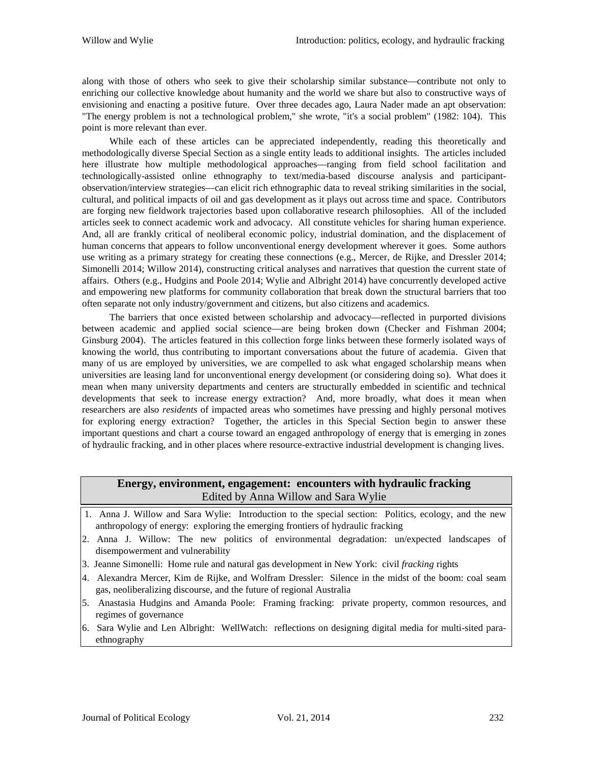along with those of others who seek to give their scholarship similar substance—contribute not only to enriching our collective knowledge about humanity and the world we share but also to constructive ways of envisioning and enacting a positive future. Over three decades ago, Laura Nader made an apt observation: "The energy problem is not a technological problem," she wrote, "it's a social problem" (1982: 104). This point is more relevant than ever.

While each of these articles can be appreciated independently, reading this theoretically and methodologically diverse Special Section as a single entity leads to additional insights. The articles included here illustrate how multiple methodological approaches—ranging from field school facilitation and technologically-assisted online ethnography to text/media-based discourse analysis and participantobservation/interview strategies—can elicit rich ethnographic data to reveal striking similarities in the social, cultural, and political impacts of oil and gas development as it plays out across time and space. Contributors are forging new fieldwork trajectories based upon collaborative research philosophies. All of the included articles seek to connect academic work and advocacy. All constitute vehicles for sharing human experience. And, all are frankly critical of neoliberal economic policy, industrial domination, and the displacement of human concerns that appears to follow unconventional energy development wherever it goes. Some authors use writing as a primary strategy for creating these connections (e.g., Mercer, de Rijke, and Dressler 2014; Simonelli 2014; Willow 2014), constructing critical analyses and narratives that question the current state of affairs. Others (e.g., Hudgins and Poole 2014; Wylie and Albright 2014) have concurrently developed active and empowering new platforms for community collaboration that break down the structural barriers that too often separate not only industry/government and citizens, but also citizens and academics.

The barriers that once existed between scholarship and advocacy—reflected in purported divisions between academic and applied social science—are being broken down (Checker and Fishman 2004; Ginsburg 2004). The articles featured in this collection forge links between these formerly isolated ways of knowing the world, thus contributing to important conversations about the future of academia. Given that many of us are employed by universities, we are compelled to ask what engaged scholarship means when universities are leasing land for unconventional energy development (or considering doing so). What does it mean when many university departments and centers are structurally embedded in scientific and technical developments that seek to increase energy extraction? And, more broadly, what does it mean when researchers are also *residents* of impacted areas who sometimes have pressing and highly personal motives for exploring energy extraction? Together, the articles in this Special Section begin to answer these important questions and chart a course toward an engaged anthropology of energy that is emerging in zones of hydraulic fracking, and in other places where resource-extractive industrial development is changing lives.

# **Energy, environment, engagement: encounters with hydraulic fracking** Edited by Anna Willow and Sara Wylie

- 1. Anna J. Willow and Sara Wylie: Introduction to the special section: Politics, ecology, and the new anthropology of energy: exploring the emerging frontiers of hydraulic fracking
- 2. Anna J. Willow: The new politics of environmental degradation: un/expected landscapes of disempowerment and vulnerability
- 3. Jeanne Simonelli: Home rule and natural gas development in New York: civil *fracking* rights
- 4. Alexandra Mercer, Kim de Rijke, and Wolfram Dressler: Silence in the midst of the boom: coal seam gas, neoliberalizing discourse, and the future of regional Australia
- 5. Anastasia Hudgins and Amanda Poole: Framing fracking: private property, common resources, and regimes of governance
- 6. Sara Wylie and Len Albright: WellWatch: reflections on designing digital media for multi-sited paraethnography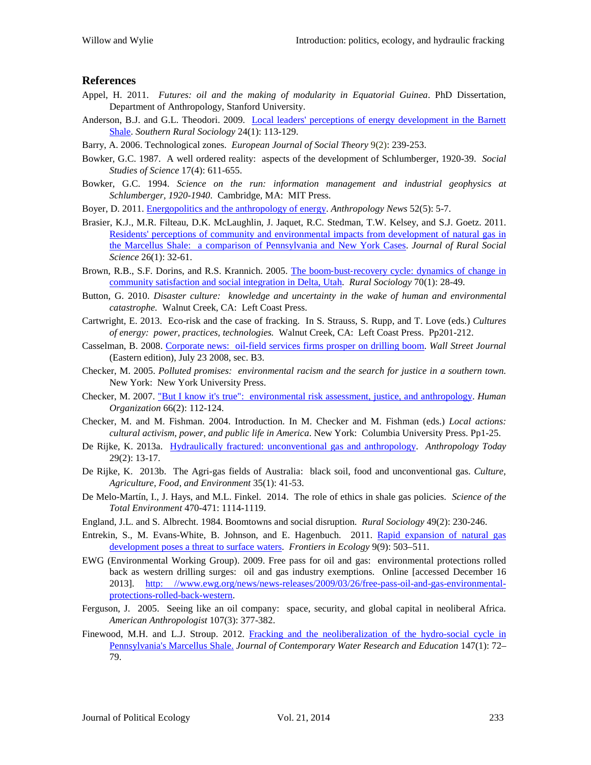### **References**

- Appel, H. 2011. *Futures: oil and the making of modularity in Equatorial Guinea*. PhD Dissertation, Department of Anthropology, Stanford University.
- Anderson, B.J. and G.L. Theodori. 2009. Local leaders' perceptions of energy [development in the Barnett](http://wrdc.usu.edu/files/uploads/NARDeP/LocalLeaders_Theodori2009.pdf)  [Shale.](http://wrdc.usu.edu/files/uploads/NARDeP/LocalLeaders_Theodori2009.pdf) *Southern Rural Sociology* 24(1): 113-129.
- Barry, A. 2006. Technological zones. *European Journal of Social Theory* 9(2): 239-253.
- Bowker, G.C. 1987. A well ordered reality: aspects of the development of Schlumberger, 1920-39. *Social Studies of Science* 17(4): 611-655.
- Bowker, G.C. 1994. *Science on the run: information management and industrial geophysics at Schlumberger, 1920-1940*. Cambridge, MA: MIT Press.
- Boyer, D. 2011. [Energopolitics and the anthropology of energy.](http://www.aaanet.org/publications/upload/52-5-Dominic-Boyer-In-Focus.pdf) *Anthropology News* 52(5): 5-7.
- Brasier, K.J., M.R. Filteau, D.K. McLaughlin, J. Jaquet, R.C. Stedman, T.W. Kelsey, and S.J. Goetz. 2011. Residents' [perceptions of community and environmental impacts from development of natural gas in](http://ag.auburn.edu/auxiliary/srsa/pages/Articles/JRSS%202011%2026%201%2032-61.pdf)  the Marcellus Shale: a [comparison of Pennsylvania and New York Cases.](http://ag.auburn.edu/auxiliary/srsa/pages/Articles/JRSS%202011%2026%201%2032-61.pdf) *Journal of Rural Social Science* 26(1): 32-61.
- Brown, R.B., S.F. Dorins, and R.S. Krannich. 2005. The boom-bust-recovery cycle: dynamics of change in [community satisfaction and social integration in Delta, Utah.](http://www.researchgate.net/publication/227793110_The_BoomBustRecovery_Cycle_Dynamics_of_Change_in_Community_Satisfaction_and_Social_Integration_in_Delta_Utah*/file/32bfe50feaca2094e4.pdf) *Rural Sociology* 70(1): 28-49.
- Button, G. 2010. *Disaster culture: knowledge and uncertainty in the wake of human and environmental catastrophe.* Walnut Creek, CA: Left Coast Press.
- Cartwright, E. 2013. Eco-risk and the case of fracking. In S. Strauss, S. Rupp, and T. Love (eds.) *Cultures of energy: power, practices, technologies.* Walnut Creek, CA: Left Coast Press. Pp201-212.
- Casselman, B. 2008. [Corporate news: oil-field services firms prosper on drilling boom.](http://online.wsj.com/news/articles/SB121671707813373169) *Wall Street Journal* (Eastern edition), July 23 2008, sec. B3.
- Checker, M. 2005. *Polluted promises: environmental racism and the search for justice in a southern town.* New York: New York University Press.
- Checker, M. 2007. ["But I know it's true": environmental risk assessment, justice, and](http://www.cof.orst.edu/cof/teach/agbio2011/Other%20Readings/Checker_RiskAssessment_Justice_2007.pdf) anthropology. *Human Organization* 66(2): 112-124.
- Checker, M. and M. Fishman. 2004. Introduction. In M. Checker and M. Fishman (eds.) *Local actions: cultural activism, power, and public life in America*. New York: Columbia University Press. Pp1-25.
- De Rijke, K. 2013a. [Hydraulically fractured: unconventional gas and anthropology.](https://www.academia.edu/4275480/de_Rijke_K._2013_Hydraulically_Fractured_Unconventional_Gas_and_Anthropology._Anthropology_Today_29_2_13-17) *Anthropology Today* 29(2): 13-17.
- De Rijke, K. 2013b. The Agri-gas fields of Australia: black soil, food and unconventional gas. *Culture, Agriculture, Food, and Environment* 35(1): 41-53.
- De Melo-Martín, I., J. Hays, and M.L. Finkel. 2014. The role of ethics in shale gas policies. *Science of the Total Environment* 470-471: 1114-1119.
- England, J.L. and S. Albrecht. 1984. Boomtowns and social disruption. *Rural Sociology* 49(2): 230-246.
- Entrekin, S., M. Evans-White, B. Johnson, and E. Hagenbuch. 2011. [Rapid expansion of natural gas](http://www.cce.cornell.edu/EnergyClimateChange/NaturalGasDev/Documents/PDFs/Entrekin%20et%20al%20Frontiers%20in%20Ecology%20and%20the%20Environment.pdf)  [development poses a threat to surface waters.](http://www.cce.cornell.edu/EnergyClimateChange/NaturalGasDev/Documents/PDFs/Entrekin%20et%20al%20Frontiers%20in%20Ecology%20and%20the%20Environment.pdf) *Frontiers in Ecology* 9(9): 503–511.
- EWG (Environmental Working Group). 2009. Free pass for oil and gas: environmental protections rolled back as western drilling surges: oil and gas industry exemptions. Online [accessed December 16 2013]. [http: //www.ewg.org/news/news-releases/2009/03/26/free-pass-oil-and-gas-environmental](http://www.ewg.org/news/news-releases/2009/03/26/free-pass-oil-and-gas-environmental-protections-rolled-back-western)[protections-rolled-back-western.](http://www.ewg.org/news/news-releases/2009/03/26/free-pass-oil-and-gas-environmental-protections-rolled-back-western)
- Ferguson, J. 2005. Seeing like an oil company: space, security, and global capital in neoliberal Africa. *American Anthropologist* 107(3): 377-382.
- Finewood, M.H. and L.J. Stroup. 2012. [Fracking and the neoliberalization of the hydro-social cycle in](http://onlinelibrary.wiley.com/doi/10.1111/j.1936-704X.2012.03104.x/full)  [Pennsylvania's Marcellus Shale.](http://onlinelibrary.wiley.com/doi/10.1111/j.1936-704X.2012.03104.x/full) *Journal of Contemporary Water Research and Education* 147(1): 72– 79.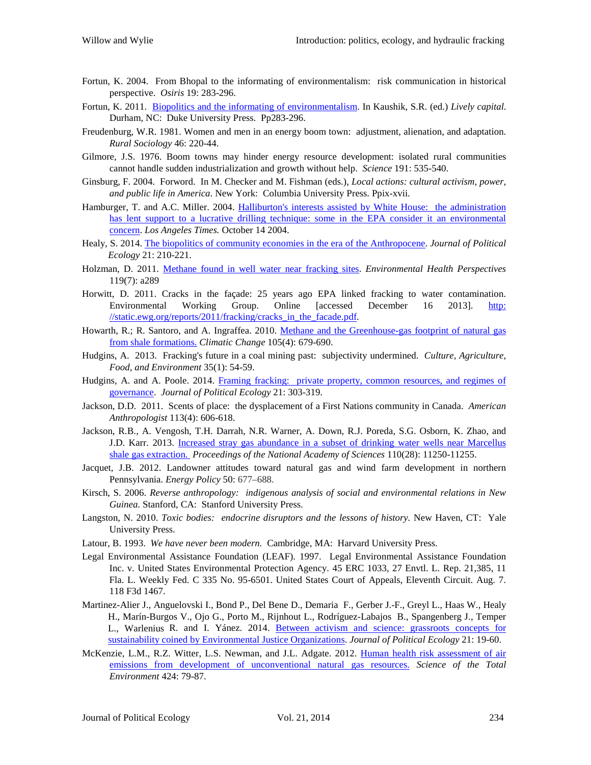- Fortun, K. 2004. From Bhopal to the informating of environmentalism: risk communication in historical perspective. *Osiris* 19: 283-296.
- Fortun, K. 2011. [Biopolitics and the informating of environmentalism.](http://figuringoutmethods.wikispaces.com/file/view/KFLivelyCapitalFeb09.pdf) In Kaushik, S.R. (ed.) *Lively capital*. Durham, NC: Duke University Press. Pp283-296.
- Freudenburg, W.R. 1981. Women and men in an energy boom town: adjustment, alienation, and adaptation. *Rural Sociology* 46: 220-44.
- Gilmore, J.S. 1976. Boom towns may hinder energy resource development: isolated rural communities cannot handle sudden industrialization and growth without help. *Science* 191: 535-540.
- Ginsburg, F. 2004. Forword. In M. Checker and M. Fishman (eds.), *Local actions: cultural activism, power, and public life in America*. New York: Columbia University Press. Ppix-xvii.
- Hamburger, T. and A.C. Miller. 2004. Halliburton's interests assisted [by White House: the administration](http://articles.latimes.com/2004/oct/14/nation/na-frac14)  [has lent support to a lucrative drilling technique:](http://articles.latimes.com/2004/oct/14/nation/na-frac14) some in the EPA consider it an environmental [concern.](http://articles.latimes.com/2004/oct/14/nation/na-frac14) *Los Angeles Times.* October 14 2004.
- Healy, S. 2014. [The biopolitics of community economies in the era of the Anthropocene.](http://jpe.library.arizona.edu/volume_21/Healy.pdf) *Journal of Political Ecology* 21: 210-221.
- Holzman, D. 2011. Methane found in well [water near fracking sites.](http://www.ncbi.nlm.nih.gov/pmc/articles/PMC3222989/) *Environmental Health Perspectives* 119(7): a289
- Horwitt, D. 2011. Cracks in the façade: 25 years ago EPA linked fracking to water contamination. Environmental Working Group. Online [accessed December 16 2013]. [http:](http://static.ewg.org/reports/2011/fracking/cracks_in_the_facade.pdf)  [//static.ewg.org/reports/2011/fracking/cracks\\_in\\_the\\_facade.pdf.](http://static.ewg.org/reports/2011/fracking/cracks_in_the_facade.pdf)
- Howarth, R.; R. Santoro, and A. Ingraffea. 2010. [Methane and the Greenhouse-gas footprint of natural gas](http://download.springer.com/static/pdf/5/art%253A10.1007%252Fs10584-011-0061-5.pdf?auth66=1393046177_4f3fb22188724c180b2ba017d4ed2e50&ext=.pdf)  [from shale formations.](http://download.springer.com/static/pdf/5/art%253A10.1007%252Fs10584-011-0061-5.pdf?auth66=1393046177_4f3fb22188724c180b2ba017d4ed2e50&ext=.pdf) *Climatic Change* 105(4): 679-690.
- Hudgins, A. 2013. Fracking's future in a coal mining past: subjectivity undermined. *Culture, Agriculture, Food, and Environment* 35(1): 54-59.
- Hudgins, A. and A. Poole. 2014. [Framing fracking: private property, common resources, and regimes of](http://jpe.library.arizona.edu/volume_21/HudginsandPoole.pdf)  [governance.](http://jpe.library.arizona.edu/volume_21/HudginsandPoole.pdf) *Journal of Political Ecology* 21: 303-319.
- Jackson, D.D. 2011. Scents of place: the dysplacement of a First Nations community in Canada. *American Anthropologist* 113(4): 606-618.
- Jackson, R.B., A. Vengosh, T.H. Darrah, N.R. Warner, A. Down, R.J. Poreda, S.G. Osborn, K. Zhao, and J.D. Karr. 2013. [Increased stray gas abundance in a subset of drinking water wells near Marcellus](http://www.pnas.org/content/110/28/11250.full?utm_source=buffer&utm_campaign=Buffer&utm_content=bufferfad6a&utm_medium=facebook)  [shale gas extraction.](http://www.pnas.org/content/110/28/11250.full?utm_source=buffer&utm_campaign=Buffer&utm_content=bufferfad6a&utm_medium=facebook) *Proceedings of the National Academy of Sciences* 110(28): 11250-11255.
- Jacquet, J.B. 2012. Landowner attitudes toward natural gas and wind farm development in northern Pennsylvania. *Energy Policy* 50: 677–688.
- Kirsch, S. 2006. *Reverse anthropology: indigenous analysis of social and environmental relations in New Guinea.* Stanford, CA: Stanford University Press.
- Langston, N. 2010. *Toxic bodies: endocrine disruptors and the lessons of history.* New Haven, CT: Yale University Press.
- Latour, B. 1993. *We have never been modern.* Cambridge, MA: Harvard University Press.
- Legal Environmental Assistance Foundation (LEAF). 1997. Legal Environmental Assistance Foundation Inc. v. United States Environmental Protection Agency. 45 ERC 1033, 27 Envtl. L. Rep. 21,385, 11 Fla. L. Weekly Fed. C 335 No. 95-6501. United States Court of Appeals, Eleventh Circuit. Aug. 7. 118 F3d 1467.
- Martinez-Alier J., Anguelovski I., Bond P., Del Bene D., Demaria F., Gerber J.-F., Greyl L., Haas W., Healy H., Marín-Burgos V., Ojo G., Porto M., Rijnhout L., Rodríguez-Labajos B., Spangenberg J., Temper L., Warlenius R. and I. Yánez. 2014. [Between activism and science: grassroots concepts for](http://jpe.library.arizona.edu/volume_21/Martinez-Alier.pdf)  [sustainability coined by Environmental Justice Organizations.](http://jpe.library.arizona.edu/volume_21/Martinez-Alier.pdf) *Journal of Political Ecology* 21: 19-60.
- McKenzie, L.M., R.Z. Witter, L.S. Newman, and J.L. Adgate. 2012. [Human health risk assessment of air](http://cogcc.state.co.us/library/setbackstakeholdergroup/Presentations/Health%20Risk%20Assessment%20of%20Air%20Emissions%20From%20Unconventional%20Natural%20Gas%20-%20HMcKenzie2012.pdf)  [emissions from development of unconventional natural gas resources.](http://cogcc.state.co.us/library/setbackstakeholdergroup/Presentations/Health%20Risk%20Assessment%20of%20Air%20Emissions%20From%20Unconventional%20Natural%20Gas%20-%20HMcKenzie2012.pdf) *Science of the Total Environment* 424: 79-87.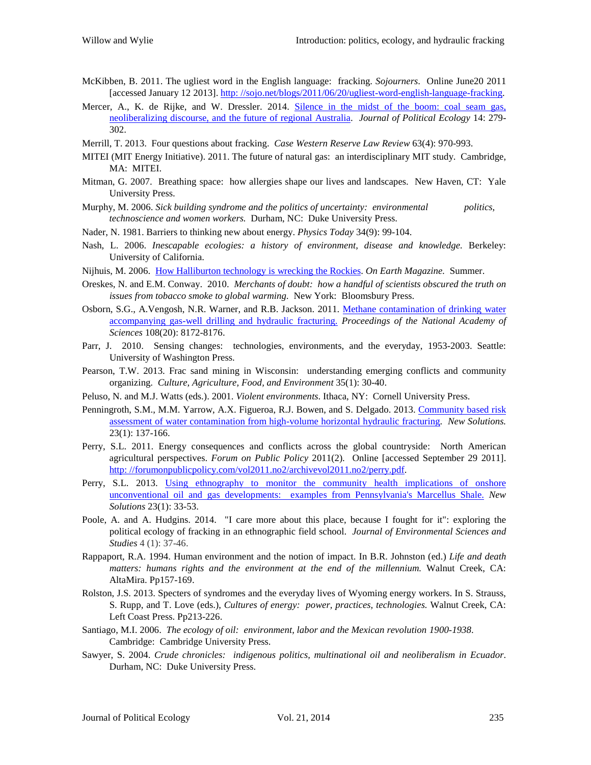- McKibben, B. 2011. The ugliest word in the English language: fracking. *Sojourners*. Online June20 2011 [accessed January 12 2013][. http: //sojo.net/blogs/2011/06/20/ugliest-word-english-language-fracking.](http://sojo.net/blogs/2011/06/20/ugliest-word-english-language-fracking)
- Mercer, A., K. de Rijke, and W. Dressler. 2014. Silence in the midst of the boom: coal seam gas, [neoliberalizing discourse, and the future of regional Australia.](http://jpe.library.arizona.edu/volume_21/Mercer.pdf) *Journal of Political Ecology* 14: 279- 302.
- Merrill, T. 2013. Four questions about fracking. *Case Western Reserve Law Review* 63(4): 970-993.
- MITEI (MIT Energy Initiative). 2011. The future of natural gas: an interdisciplinary MIT study. Cambridge, MA: MITEI.
- Mitman, G. 2007. Breathing space: how allergies shape our lives and landscapes. New Haven, CT: Yale University Press.
- Murphy, M. 2006. *Sick building syndrome and the politics of uncertainty: environmental politics, technoscience and women workers.* Durham, NC: Duke University Press.
- Nader, N. 1981. Barriers to thinking new about energy. *Physics Today* 34(9): 99-104.
- Nash, L. 2006. *Inescapable ecologies: a history of environment, disease and knowledge.* Berkeley: University of California.
- Nijhuis, M. 2006. [How Halliburton technology is wrecking the Rockies.](https://www.nrdc.org/onearth/06sum/rockies1.asp) *On Earth Magazine.* Summer.
- Oreskes, N. and E.M. Conway. 2010. *Merchants of doubt: how a handful of scientists obscured the truth on issues from tobacco smoke to global warming.* New York: Bloomsbury Press.
- Osborn, S.G., A.Vengosh, N.R. Warner, and R.B. Jackson. 2011. [Methane contamination of drinking water](http://www.pnas.org/content/108/20/8172.full.pdf+)  [accompanying gas-well drilling and hydraulic fracturing.](http://www.pnas.org/content/108/20/8172.full.pdf+) *Proceedings of the National Academy of Sciences* 108(20): 8172-8176.
- Parr, J. 2010. Sensing changes: technologies, environments, and the everyday, 1953-2003. Seattle: University of Washington Press.
- Pearson, T.W. 2013. Frac sand mining in Wisconsin: understanding emerging conflicts and community organizing. *Culture, Agriculture, Food, and Environment* 35(1): 30-40.
- Peluso, N. and M.J. Watts (eds.). 2001. *Violent environments*. Ithaca, NY: Cornell University Press.
- Penningroth, S.M., M.M. Yarrow, A.X. Figueroa, R.J. Bowen, and S. Delgado. 2013. Community based risk [assessment of water contamination from high-volume horizontal hydraulic fracturing.](http://www.communityscience.org/wp-content/uploads/2013/03/Community-Based-Risk-Assessment-New-Solutions-FINAL.pdf) *New Solutions.* 23(1): 137-166.
- Perry, S.L. 2011. Energy consequences and conflicts across the global countryside: North American agricultural perspectives. *Forum on Public Policy* 2011(2). Online [accessed September 29 2011]. [http: //forumonpublicpolicy.com/vol2011.no2/archivevol2011.no2/perry.pdf.](http://forumonpublicpolicy.com/vol2011.no2/archivevol2011.no2/perry.pdf)
- Perry, S.L. 2013. [Using ethnography to monitor the community health implications of onshore](http://courses.washington.edu/envir300/papers/Perry_2013.pdf)  [unconventional oil and gas developments: examples from Pennsylvania's Marcellus Shale.](http://courses.washington.edu/envir300/papers/Perry_2013.pdf) *New Solutions* 23(1): 33-53.
- Poole, A. and A. Hudgins. 2014. "I care more about this place, because I fought for it": exploring the political ecology of fracking in an ethnographic field school. *Journal of Environmental Sciences and Studies* 4 (1): 37-46.
- Rappaport, R.A. 1994. Human environment and the notion of impact. In B.R. Johnston (ed.) *Life and death matters: humans rights and the environment at the end of the millennium.* Walnut Creek, CA: AltaMira. Pp157-169.
- Rolston, J.S. 2013. Specters of syndromes and the everyday lives of Wyoming energy workers. In S. Strauss, S. Rupp, and T. Love (eds.), *Cultures of energy: power, practices, technologies.* Walnut Creek, CA: Left Coast Press. Pp213-226.
- Santiago, M.I. 2006. *The ecology of oil: environment, labor and the Mexican revolution 1900-1938*. Cambridge: Cambridge University Press.
- Sawyer, S. 2004. *Crude chronicles: indigenous politics, multinational oil and neoliberalism in Ecuador*. Durham, NC: Duke University Press.